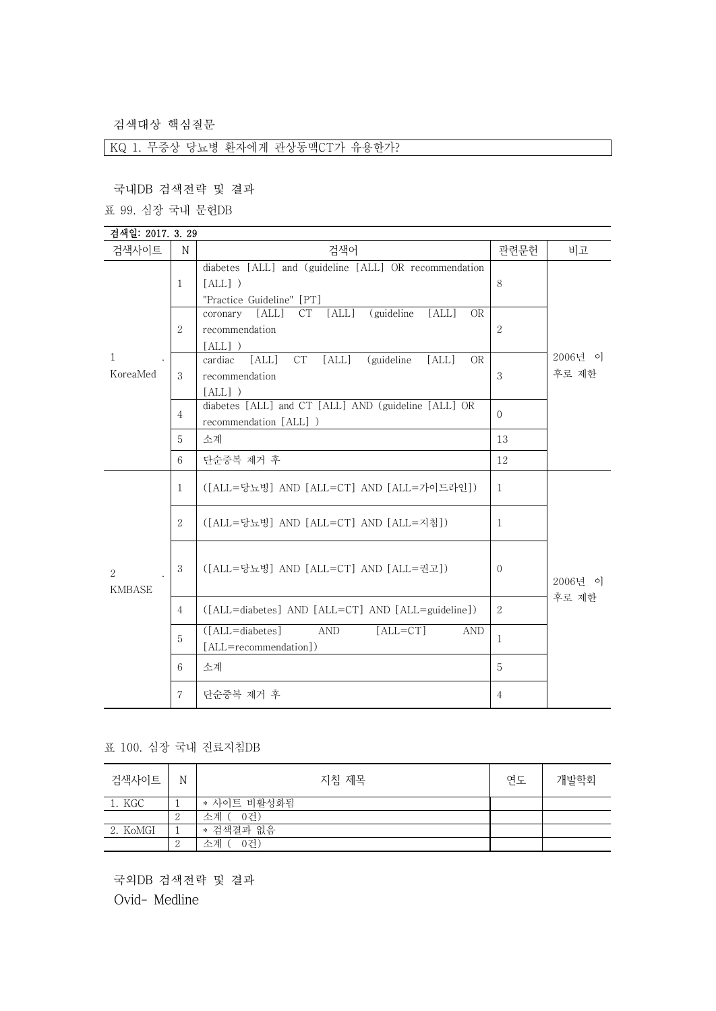검색대상 핵심질문

KQ 1. 무증상 당뇨병 환자에게 관상동맥CT가 유용한가?

국내DB 검색전략 및 결과

표 99. 심장 국내 문헌DB

| 검색일: 2017. 3. 29         |                |                                                                                                             |                |                  |
|--------------------------|----------------|-------------------------------------------------------------------------------------------------------------|----------------|------------------|
| 검색사이트                    | N              | 검색어                                                                                                         | 관련문헌           | 비고               |
| $\mathbf{1}$<br>KoreaMed | $\mathbf{1}$   | diabetes [ALL] and (guideline [ALL] OR recommendation<br>$[ALL]$ )<br>"Practice Guideline" [PT]             | 8              | 2006년 이<br>후로 제한 |
|                          | $\overline{2}$ | (guideline)<br>[ALL]<br>[ALL]<br>[ALL]<br><b>CT</b><br><b>OR</b><br>coronary<br>recommendation<br>$[ALL]$ ) | $\overline{2}$ |                  |
|                          | 3              | CT<br>[ALL]<br>[ALL]<br>(guideline)<br>[ALL]<br>cardiac<br><b>OR</b><br>recommendation<br>$[ALL]$ )         | 3              |                  |
|                          | $\overline{4}$ | diabetes [ALL] and CT [ALL] AND (guideline [ALL] OR<br>recommendation [ALL] )                               | $\Omega$       |                  |
|                          | 5              | 소계                                                                                                          | 13             |                  |
|                          | 6              | 단순중복 제거 후                                                                                                   | 12             |                  |
| 2<br><b>KMBASE</b>       | $\mathbf{1}$   | ([ALL=당뇨병] AND [ALL=CT] AND [ALL=가이드라인])                                                                    | $\mathbf{1}$   | 2006년 이<br>후로 제한 |
|                          | 2              | ([ALL=당뇨병] AND [ALL=CT] AND [ALL=지침])                                                                       | $\mathbf{1}$   |                  |
|                          | 3              | ([ALL=당뇨병] AND [ALL=CT] AND [ALL=권고])                                                                       | $\Omega$       |                  |
|                          | $\overline{4}$ | ([ALL=diabetes] AND [ALL=CT] AND [ALL=guideline])                                                           | $\overline{2}$ |                  |
|                          | 5              | $([ALL = diabetes]$<br>$[ALL = CT]$<br><b>AND</b><br><b>AND</b><br>[ALL=recommendation])                    | $\mathbf{1}$   |                  |
|                          | 6              | 소계                                                                                                          | 5              |                  |
|                          | $\mathbf{7}$   | 단순중복 제거 후                                                                                                   | $\overline{4}$ |                  |

표 100. 심장 국내 진료지침DB

| 검색사이트    | N             | 지침 제목       | 연도 | 개발학회 |  |
|----------|---------------|-------------|----|------|--|
| 1. KGC   |               | * 사이트 비활성화됨 |    |      |  |
|          | $\Omega$<br>↵ | 소계 ( 0건)    |    |      |  |
| 2. KoMGI |               | * 검색결과 없음   |    |      |  |
|          | $\Omega$<br>↵ | 0건)<br>소계 ( |    |      |  |

국외DB 검색전략 및 결과 Ovid- Medline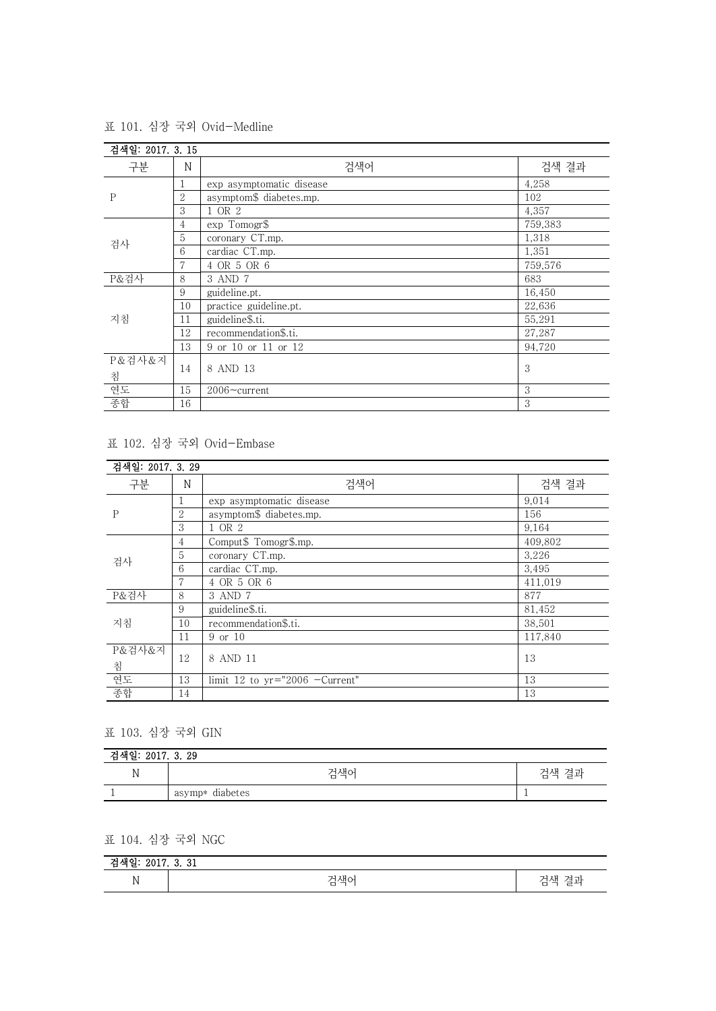| 검색일: 2017. 3. 15 |                |                          |         |
|------------------|----------------|--------------------------|---------|
| 구분               | N              | 검색어                      | 검색 결과   |
| P                |                | exp asymptomatic disease | 4,258   |
|                  | $\overline{2}$ | asymptom\$ diabetes.mp.  | 102     |
|                  | 3              | 1 OR 2                   | 4,357   |
| 검사               | 4              | exp Tomogr\$             | 759,383 |
|                  | 5              | coronary CT.mp.          | 1,318   |
|                  | 6              | cardiac CT.mp.           | 1,351   |
|                  | 7              | 4 OR 5 OR 6              | 759,576 |
| P&검사             | 8              | 3 AND 7                  | 683     |
|                  | 9              | guideline.pt.            | 16,450  |
|                  | 10             | practice guideline.pt.   | 22,636  |
| 지침               | 11             | guideline\$.ti.          | 55,291  |
|                  | 12             | recommendation\$.ti.     | 27,287  |
|                  | 13             | 9 or 10 or 11 or 12      | 94,720  |
| P&검사&지<br>침      | 14             | 8 AND 13                 | 3       |
| 연도               | 15             | 2006~current             | 3       |
| 종합               | 16             |                          | 3       |

표 101. 심장 국외 Ovid-Medline

표 102. 심장 국외 Ovid-Embase

| 검색일: 2017. 3. 29 |                |                                  |         |
|------------------|----------------|----------------------------------|---------|
| 구분               | N              | 검색어                              | 검색 결과   |
| P                |                | exp asymptomatic disease         | 9,014   |
|                  | $\overline{2}$ | asymptom\$ diabetes.mp.          | 156     |
|                  | 3              | 1 OR 2                           | 9,164   |
| 검사               | 4              | Comput\$ Tomogr\$.mp.            | 409,802 |
|                  | 5              | coronary CT.mp.                  | 3,226   |
|                  | 6              | cardiac CT.mp.                   | 3,495   |
|                  | 7              | 4 OR 5 OR 6                      | 411,019 |
| P&검사             | 8              | 3 AND 7                          | 877     |
| 지침               | 9              | guideline\$.ti.                  | 81,452  |
|                  | 10             | recommendation\$.ti.             | 38,501  |
|                  | 11             | 9 or 10                          | 117,840 |
| P&검사&지           |                |                                  |         |
| 침                | 12             | 8 AND 11                         | 13      |
| 연도               | 13             | limit 12 to $yr="2006$ -Current" | 13      |
| 종합               | 14             |                                  | 13      |

## 표 103. 심장 국외 GIN

| 검색일: 2017. 3. 29 |                    |       |  |
|------------------|--------------------|-------|--|
| <b>AT</b><br>JN. | 검색어                | 검색 결과 |  |
|                  | diabetes<br>asymp* |       |  |

## 표 104. 심장 국외 NGC

| $^{\circ}$<br>근.<br>40 L L<br>- 71<br>. v.<br>в |                                            |                                                     |  |
|-------------------------------------------------|--------------------------------------------|-----------------------------------------------------|--|
| ът<br>IN.                                       | 그샌어<br>71<br>$\overline{\phantom{0}}$<br>ᆸ | -<br><b>STATE</b><br>그스<br><b>11</b><br>-<br>−<br>− |  |